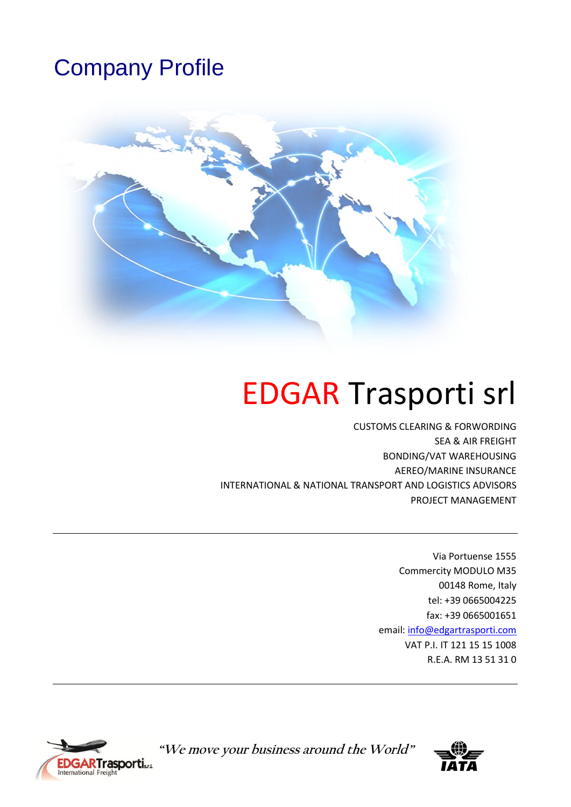# Company Profile



# EDGAR Trasporti srl

CUSTOMS CLEARING & FORWORDING SEA & AIR FREIGHT BONDING/VAT WAREHOUSING AEREO/MARINE INSURANCE INTERNATIONAL & NATIONAL TRANSPORT AND LOGISTICS ADVISORS PROJECT MANAGEMENT

> Via Portuense 1555 Commercity MODULO M35 00148 Rome, Italy tel: +39 0665004225 fax: +39 0665001651 email: [info@edgartrasporti.com](mailto:info@edgartrasporti.com) VAT P.I. IT 121 15 15 1008 R.E.A. RM 13 51 31 0



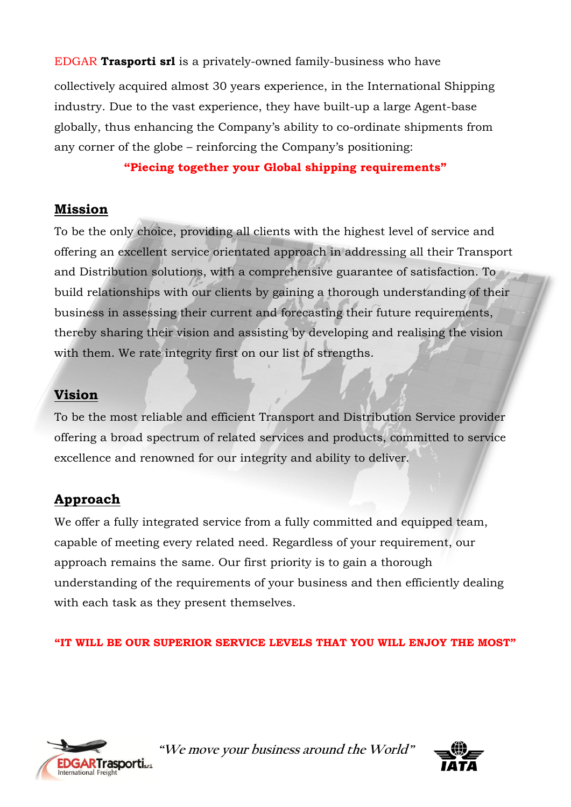EDGAR **Trasporti srl** is a privately-owned family-business who have

collectively acquired almost 30 years experience, in the International Shipping industry. Due to the vast experience, they have built-up a large Agent-base globally, thus enhancing the Company's ability to co-ordinate shipments from any corner of the globe – reinforcing the Company's positioning:

#### **"Piecing together your Global shipping requirements"**

#### **Mission**

To be the only choice, providing all clients with the highest level of service and offering an excellent service orientated approach in addressing all their Transport and Distribution solutions, with a comprehensive guarantee of satisfaction. To build relationships with our clients by gaining a thorough understanding of their business in assessing their current and forecasting their future requirements, thereby sharing their vision and assisting by developing and realising the vision with them. We rate integrity first on our list of strengths.

## **Vision**

To be the most reliable and efficient Transport and Distribution Service provider offering a broad spectrum of related services and products, committed to service excellence and renowned for our integrity and ability to deliver.

# **Approach**

We offer a fully integrated service from a fully committed and equipped team, capable of meeting every related need. Regardless of your requirement, our approach remains the same. Our first priority is to gain a thorough understanding of the requirements of your business and then efficiently dealing with each task as they present themselves.

#### **"IT WILL BE OUR SUPERIOR SERVICE LEVELS THAT YOU WILL ENJOY THE MOST"**



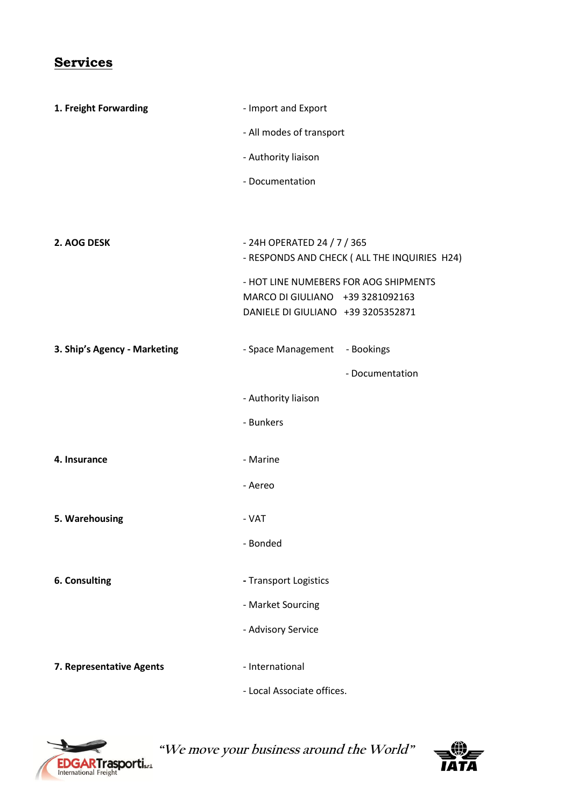# **Services**

| 1. Freight Forwarding        | - Import and Export                                                                                             |  |
|------------------------------|-----------------------------------------------------------------------------------------------------------------|--|
|                              | - All modes of transport<br>- Authority liaison                                                                 |  |
|                              |                                                                                                                 |  |
|                              | - Documentation                                                                                                 |  |
|                              |                                                                                                                 |  |
|                              |                                                                                                                 |  |
| 2. AOG DESK                  | - 24H OPERATED 24 / 7 / 365<br>- RESPONDS AND CHECK ( ALL THE INQUIRIES H24)                                    |  |
|                              | - HOT LINE NUMEBERS FOR AOG SHIPMENTS<br>MARCO DI GIULIANO +39 3281092163<br>DANIELE DI GIULIANO +39 3205352871 |  |
| 3. Ship's Agency - Marketing | - Space Management - Bookings                                                                                   |  |
|                              | - Documentation                                                                                                 |  |
|                              | - Authority liaison                                                                                             |  |
|                              | - Bunkers                                                                                                       |  |
| 4. Insurance                 | - Marine                                                                                                        |  |
|                              | - Aereo                                                                                                         |  |
| 5. Warehousing               | - VAT                                                                                                           |  |
|                              | - Bonded                                                                                                        |  |
| 6. Consulting                | - Transport Logistics                                                                                           |  |
|                              | - Market Sourcing                                                                                               |  |
|                              | - Advisory Service                                                                                              |  |
| 7. Representative Agents     | - International                                                                                                 |  |
|                              | - Local Associate offices.                                                                                      |  |



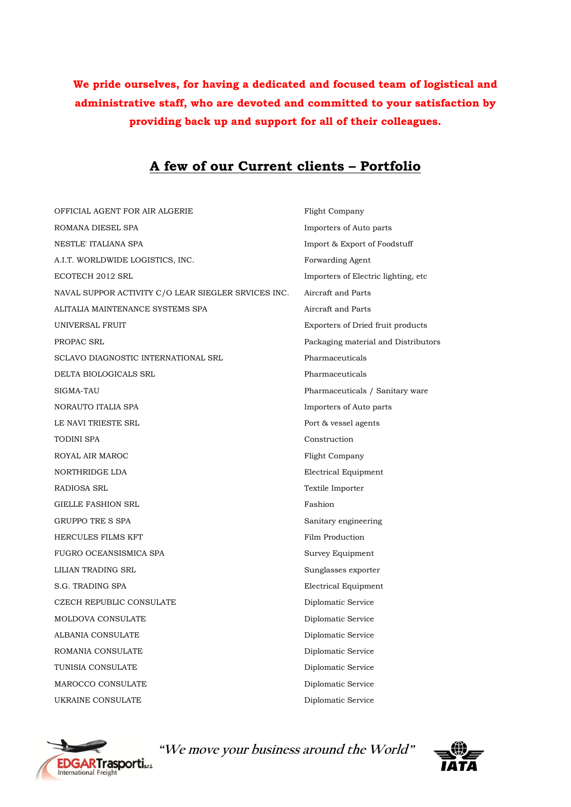**We pride ourselves, for having a dedicated and focused team of logistical and administrative staff, who are devoted and committed to your satisfaction by providing back up and support for all of their colleagues.**

#### **A few of our Current clients – Portfolio**

OFFICIAL AGENT FOR AIR ALGERIE Flight Company ROMANA DIESEL SPA **importers** of Auto parts NESTLE' ITALIANA SPA Import & Export of Foodstuff A.I.T. WORLDWIDE LOGISTICS, INC. Forwarding Agent ECOTECH 2012 SRL Importers of Electric lighting, etc NAVAL SUPPOR ACTIVITY C/O LEAR SIEGLER SRVICES INC. Aircraft and Parts ALITALIA MAINTENANCE SYSTEMS SPA Aircraft and Parts UNIVERSAL FRUIT Exporters of Dried fruit products PROPAC SRL PROPAC SRL PACKAGING THE PACKAGING MATERIAL AND PACKAGING MATERIAL AND PACKAGING MATERIAL AND PACKAGING MATERIAL AND PACKAGING MATERIAL AND PACKAGING MATERIAL AND PACKAGING MATERIAL AND PACKAGING MATERIAL AND PA SCLAVO DIAGNOSTIC INTERNATIONAL SRL Pharmaceuticals DELTA BIOLOGICALS SRL Pharmaceuticals SIGMA-TAU Pharmaceuticals / Sanitary ware NORAUTO ITALIA SPA **Importers** of Auto parts LE NAVI TRIESTE SRL Port & vessel agents TODINI SPA Construction ROYAL AIR MAROC Flight Company NORTHRIDGE LDA Electrical Equipment RADIOSA SRL Textile Importer GIELLE FASHION SRL Fashion GRUPPO TRE S SPA Sanitary engineering HERCULES FILMS KFT Film Production FUGRO OCEANSISMICA SPA Survey Equipment LILIAN TRADING SRL Sunglasses exporter S.G. TRADING SPA Electrical Equipment CZECH REPUBLIC CONSULATE Diplomatic Service MOLDOVA CONSULATE Diplomatic Service ALBANIA CONSULATE Diplomatic Service ROMANIA CONSULATE Diplomatic Service TUNISIA CONSULATE Diplomatic Service MAROCCO CONSULATE Diplomatic Service UKRAINE CONSULATE Diplomatic Service



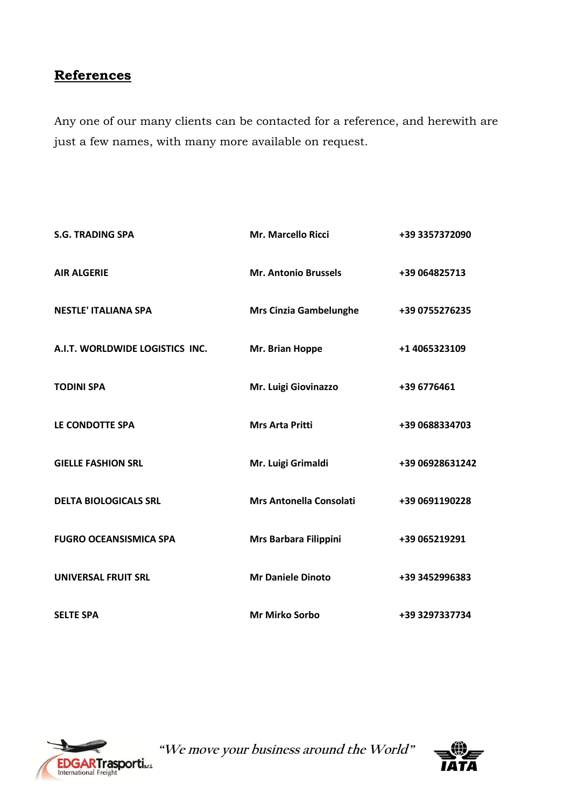## **References**

Any one of our many clients can be contacted for a reference, and herewith are just a few names, with many more available on request.

| <b>S.G. TRADING SPA</b>         | <b>Mr. Marcello Ricci</b>      | +39 3357372090  |
|---------------------------------|--------------------------------|-----------------|
| <b>AIR ALGERIE</b>              | <b>Mr. Antonio Brussels</b>    | +39 064825713   |
| <b>NESTLE' ITALIANA SPA</b>     | <b>Mrs Cinzia Gambelunghe</b>  | +39 0755276235  |
| A.I.T. WORLDWIDE LOGISTICS INC. | Mr. Brian Hoppe                | +1 4065323109   |
| <b>TODINI SPA</b>               | Mr. Luigi Giovinazzo           | +39 6776461     |
| LE CONDOTTE SPA                 | <b>Mrs Arta Pritti</b>         | +39 0688334703  |
| <b>GIELLE FASHION SRL</b>       | Mr. Luigi Grimaldi             | +39 06928631242 |
| <b>DELTA BIOLOGICALS SRL</b>    | <b>Mrs Antonella Consolati</b> | +39 0691190228  |
| <b>FUGRO OCEANSISMICA SPA</b>   | Mrs Barbara Filippini          | +39 065219291   |
| <b>UNIVERSAL FRUIT SRL</b>      | <b>Mr Daniele Dinoto</b>       | +39 3452996383  |
| <b>SELTE SPA</b>                | <b>Mr Mirko Sorbo</b>          | +39 3297337734  |



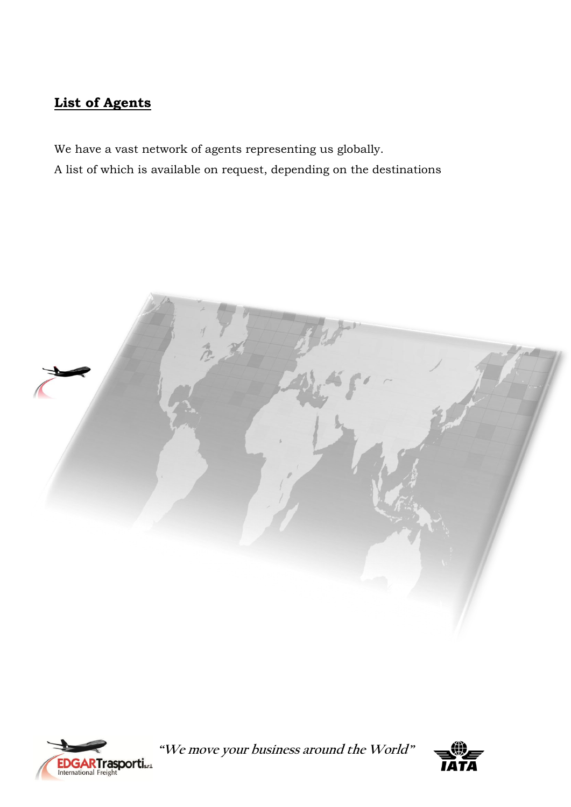# **List of Agents**

We have a vast network of agents representing us globally. A list of which is available on request, depending on the destinations